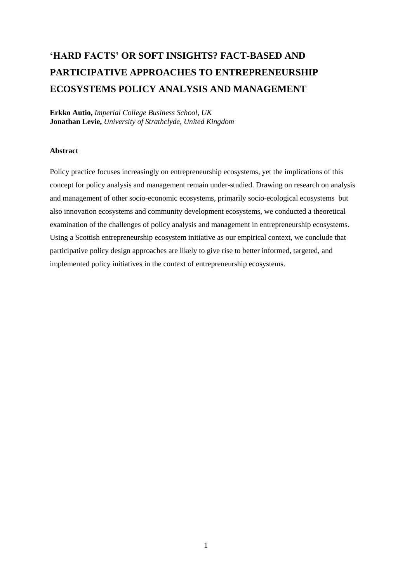# **'HARD FACTS' OR SOFT INSIGHTS? FACT-BASED AND PARTICIPATIVE APPROACHES TO ENTREPRENEURSHIP ECOSYSTEMS POLICY ANALYSIS AND MANAGEMENT**

**Erkko Autio,** *Imperial College Business School, UK* **Jonathan Levie,** *University of Strathclyde, United Kingdom*

#### **Abstract**

Policy practice focuses increasingly on entrepreneurship ecosystems, yet the implications of this concept for policy analysis and management remain under-studied. Drawing on research on analysis and management of other socio-economic ecosystems, primarily socio-ecological ecosystems but also innovation ecosystems and community development ecosystems, we conducted a theoretical examination of the challenges of policy analysis and management in entrepreneurship ecosystems. Using a Scottish entrepreneurship ecosystem initiative as our empirical context, we conclude that participative policy design approaches are likely to give rise to better informed, targeted, and implemented policy initiatives in the context of entrepreneurship ecosystems.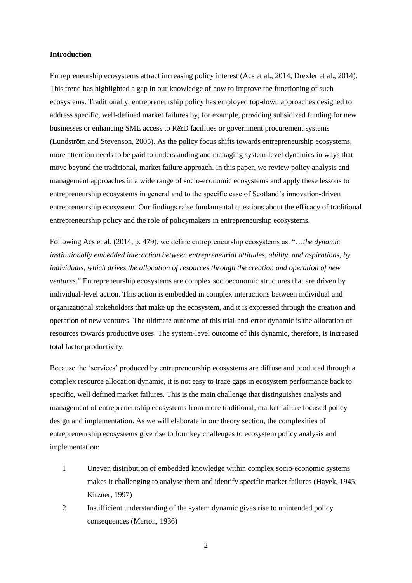#### **Introduction**

Entrepreneurship ecosystems attract increasing policy interest (Acs et al., 2014; Drexler et al., 2014). This trend has highlighted a gap in our knowledge of how to improve the functioning of such ecosystems. Traditionally, entrepreneurship policy has employed top-down approaches designed to address specific, well-defined market failures by, for example, providing subsidized funding for new businesses or enhancing SME access to R&D facilities or government procurement systems (Lundström and Stevenson, 2005). As the policy focus shifts towards entrepreneurship ecosystems, more attention needs to be paid to understanding and managing system-level dynamics in ways that move beyond the traditional, market failure approach. In this paper, we review policy analysis and management approaches in a wide range of socio-economic ecosystems and apply these lessons to entrepreneurship ecosystems in general and to the specific case of Scotland's innovation-driven entrepreneurship ecosystem. Our findings raise fundamental questions about the efficacy of traditional entrepreneurship policy and the role of policymakers in entrepreneurship ecosystems.

Following Acs et al. (2014, p. 479), we define entrepreneurship ecosystems as: "…*the dynamic, institutionally embedded interaction between entrepreneurial attitudes, ability, and aspirations, by individuals, which drives the allocation of resources through the creation and operation of new ventures*." Entrepreneurship ecosystems are complex socioeconomic structures that are driven by individual-level action. This action is embedded in complex interactions between individual and organizational stakeholders that make up the ecosystem, and it is expressed through the creation and operation of new ventures. The ultimate outcome of this trial-and-error dynamic is the allocation of resources towards productive uses. The system-level outcome of this dynamic, therefore, is increased total factor productivity.

Because the 'services' produced by entrepreneurship ecosystems are diffuse and produced through a complex resource allocation dynamic, it is not easy to trace gaps in ecosystem performance back to specific, well defined market failures. This is the main challenge that distinguishes analysis and management of entrepreneurship ecosystems from more traditional, market failure focused policy design and implementation. As we will elaborate in our theory section, the complexities of entrepreneurship ecosystems give rise to four key challenges to ecosystem policy analysis and implementation:

- 1 Uneven distribution of embedded knowledge within complex socio-economic systems makes it challenging to analyse them and identify specific market failures (Hayek, 1945; Kirzner, 1997)
- 2 Insufficient understanding of the system dynamic gives rise to unintended policy consequences (Merton, 1936)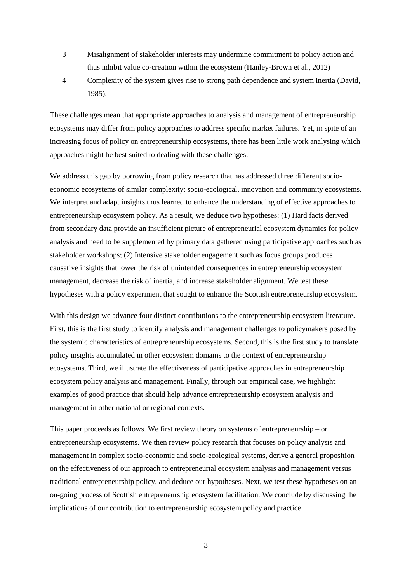- 3 Misalignment of stakeholder interests may undermine commitment to policy action and thus inhibit value co-creation within the ecosystem (Hanley-Brown et al., 2012)
- 4 Complexity of the system gives rise to strong path dependence and system inertia (David, 1985).

These challenges mean that appropriate approaches to analysis and management of entrepreneurship ecosystems may differ from policy approaches to address specific market failures. Yet, in spite of an increasing focus of policy on entrepreneurship ecosystems, there has been little work analysing which approaches might be best suited to dealing with these challenges.

We address this gap by borrowing from policy research that has addressed three different socioeconomic ecosystems of similar complexity: socio-ecological, innovation and community ecosystems. We interpret and adapt insights thus learned to enhance the understanding of effective approaches to entrepreneurship ecosystem policy. As a result, we deduce two hypotheses: (1) Hard facts derived from secondary data provide an insufficient picture of entrepreneurial ecosystem dynamics for policy analysis and need to be supplemented by primary data gathered using participative approaches such as stakeholder workshops; (2) Intensive stakeholder engagement such as focus groups produces causative insights that lower the risk of unintended consequences in entrepreneurship ecosystem management, decrease the risk of inertia, and increase stakeholder alignment. We test these hypotheses with a policy experiment that sought to enhance the Scottish entrepreneurship ecosystem.

With this design we advance four distinct contributions to the entrepreneurship ecosystem literature. First, this is the first study to identify analysis and management challenges to policymakers posed by the systemic characteristics of entrepreneurship ecosystems. Second, this is the first study to translate policy insights accumulated in other ecosystem domains to the context of entrepreneurship ecosystems. Third, we illustrate the effectiveness of participative approaches in entrepreneurship ecosystem policy analysis and management. Finally, through our empirical case, we highlight examples of good practice that should help advance entrepreneurship ecosystem analysis and management in other national or regional contexts.

This paper proceeds as follows. We first review theory on systems of entrepreneurship – or entrepreneurship ecosystems. We then review policy research that focuses on policy analysis and management in complex socio-economic and socio-ecological systems, derive a general proposition on the effectiveness of our approach to entrepreneurial ecosystem analysis and management versus traditional entrepreneurship policy, and deduce our hypotheses. Next, we test these hypotheses on an on-going process of Scottish entrepreneurship ecosystem facilitation. We conclude by discussing the implications of our contribution to entrepreneurship ecosystem policy and practice.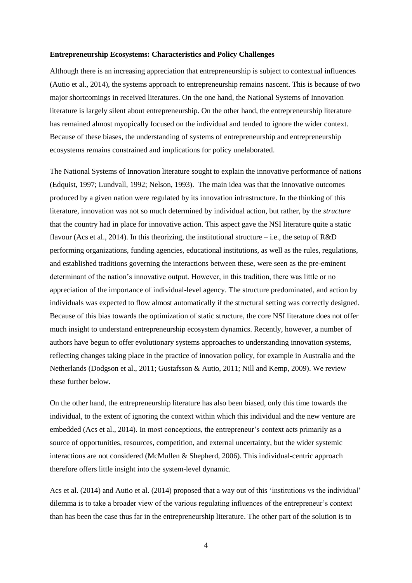#### **Entrepreneurship Ecosystems: Characteristics and Policy Challenges**

Although there is an increasing appreciation that entrepreneurship is subject to contextual influences (Autio et al., 2014), the systems approach to entrepreneurship remains nascent. This is because of two major shortcomings in received literatures. On the one hand, the National Systems of Innovation literature is largely silent about entrepreneurship. On the other hand, the entrepreneurship literature has remained almost myopically focused on the individual and tended to ignore the wider context. Because of these biases, the understanding of systems of entrepreneurship and entrepreneurship ecosystems remains constrained and implications for policy unelaborated.

The National Systems of Innovation literature sought to explain the innovative performance of nations (Edquist, 1997; Lundvall, 1992; Nelson, 1993). The main idea was that the innovative outcomes produced by a given nation were regulated by its innovation infrastructure. In the thinking of this literature, innovation was not so much determined by individual action, but rather, by the *structure* that the country had in place for innovative action. This aspect gave the NSI literature quite a static flavour (Acs et al., 2014). In this theorizing, the institutional structure – i.e., the setup of  $R&D$ performing organizations, funding agencies, educational institutions, as well as the rules, regulations, and established traditions governing the interactions between these, were seen as the pre-eminent determinant of the nation's innovative output. However, in this tradition, there was little or no appreciation of the importance of individual-level agency. The structure predominated, and action by individuals was expected to flow almost automatically if the structural setting was correctly designed. Because of this bias towards the optimization of static structure, the core NSI literature does not offer much insight to understand entrepreneurship ecosystem dynamics. Recently, however, a number of authors have begun to offer evolutionary systems approaches to understanding innovation systems, reflecting changes taking place in the practice of innovation policy, for example in Australia and the Netherlands (Dodgson et al., 2011; Gustafsson & Autio, 2011; Nill and Kemp, 2009). We review these further below.

On the other hand, the entrepreneurship literature has also been biased, only this time towards the individual, to the extent of ignoring the context within which this individual and the new venture are embedded (Acs et al., 2014). In most conceptions, the entrepreneur's context acts primarily as a source of opportunities, resources, competition, and external uncertainty, but the wider systemic interactions are not considered (McMullen & Shepherd, 2006). This individual-centric approach therefore offers little insight into the system-level dynamic.

Acs et al. (2014) and Autio et al. (2014) proposed that a way out of this 'institutions vs the individual' dilemma is to take a broader view of the various regulating influences of the entrepreneur's context than has been the case thus far in the entrepreneurship literature. The other part of the solution is to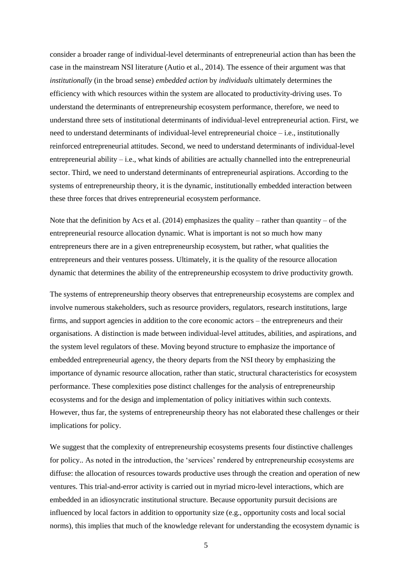consider a broader range of individual-level determinants of entrepreneurial action than has been the case in the mainstream NSI literature (Autio et al., 2014). The essence of their argument was that *institutionally* (in the broad sense) *embedded action* by *individuals* ultimately determines the efficiency with which resources within the system are allocated to productivity-driving uses. To understand the determinants of entrepreneurship ecosystem performance, therefore, we need to understand three sets of institutional determinants of individual-level entrepreneurial action. First, we need to understand determinants of individual-level entrepreneurial choice – i.e., institutionally reinforced entrepreneurial attitudes. Second, we need to understand determinants of individual-level entrepreneurial ability  $-i.e.,$  what kinds of abilities are actually channelled into the entrepreneurial sector. Third, we need to understand determinants of entrepreneurial aspirations. According to the systems of entrepreneurship theory, it is the dynamic, institutionally embedded interaction between these three forces that drives entrepreneurial ecosystem performance.

Note that the definition by Acs et al.  $(2014)$  emphasizes the quality – rather than quantity – of the entrepreneurial resource allocation dynamic. What is important is not so much how many entrepreneurs there are in a given entrepreneurship ecosystem, but rather, what qualities the entrepreneurs and their ventures possess. Ultimately, it is the quality of the resource allocation dynamic that determines the ability of the entrepreneurship ecosystem to drive productivity growth.

The systems of entrepreneurship theory observes that entrepreneurship ecosystems are complex and involve numerous stakeholders, such as resource providers, regulators, research institutions, large firms, and support agencies in addition to the core economic actors – the entrepreneurs and their organisations. A distinction is made between individual-level attitudes, abilities, and aspirations, and the system level regulators of these. Moving beyond structure to emphasize the importance of embedded entrepreneurial agency, the theory departs from the NSI theory by emphasizing the importance of dynamic resource allocation, rather than static, structural characteristics for ecosystem performance. These complexities pose distinct challenges for the analysis of entrepreneurship ecosystems and for the design and implementation of policy initiatives within such contexts. However, thus far, the systems of entrepreneurship theory has not elaborated these challenges or their implications for policy.

We suggest that the complexity of entrepreneurship ecosystems presents four distinctive challenges for policy.. As noted in the introduction, the 'services' rendered by entrepreneurship ecosystems are diffuse: the allocation of resources towards productive uses through the creation and operation of new ventures. This trial-and-error activity is carried out in myriad micro-level interactions, which are embedded in an idiosyncratic institutional structure. Because opportunity pursuit decisions are influenced by local factors in addition to opportunity size (e.g., opportunity costs and local social norms), this implies that much of the knowledge relevant for understanding the ecosystem dynamic is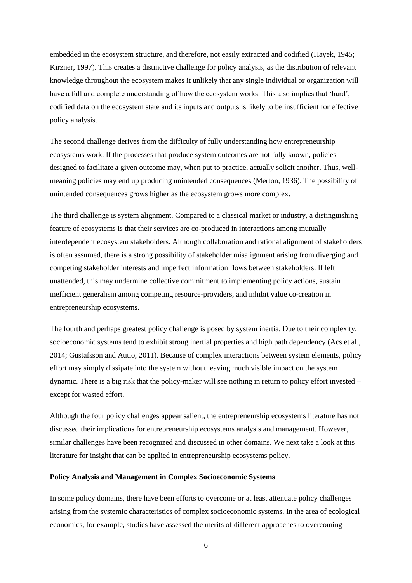embedded in the ecosystem structure, and therefore, not easily extracted and codified (Hayek, 1945; Kirzner, 1997). This creates a distinctive challenge for policy analysis, as the distribution of relevant knowledge throughout the ecosystem makes it unlikely that any single individual or organization will have a full and complete understanding of how the ecosystem works. This also implies that 'hard', codified data on the ecosystem state and its inputs and outputs is likely to be insufficient for effective policy analysis.

The second challenge derives from the difficulty of fully understanding how entrepreneurship ecosystems work. If the processes that produce system outcomes are not fully known, policies designed to facilitate a given outcome may, when put to practice, actually solicit another. Thus, wellmeaning policies may end up producing unintended consequences (Merton, 1936). The possibility of unintended consequences grows higher as the ecosystem grows more complex.

The third challenge is system alignment. Compared to a classical market or industry, a distinguishing feature of ecosystems is that their services are co-produced in interactions among mutually interdependent ecosystem stakeholders. Although collaboration and rational alignment of stakeholders is often assumed, there is a strong possibility of stakeholder misalignment arising from diverging and competing stakeholder interests and imperfect information flows between stakeholders. If left unattended, this may undermine collective commitment to implementing policy actions, sustain inefficient generalism among competing resource-providers, and inhibit value co-creation in entrepreneurship ecosystems.

The fourth and perhaps greatest policy challenge is posed by system inertia. Due to their complexity, socioeconomic systems tend to exhibit strong inertial properties and high path dependency (Acs et al., 2014; Gustafsson and Autio, 2011). Because of complex interactions between system elements, policy effort may simply dissipate into the system without leaving much visible impact on the system dynamic. There is a big risk that the policy-maker will see nothing in return to policy effort invested – except for wasted effort.

Although the four policy challenges appear salient, the entrepreneurship ecosystems literature has not discussed their implications for entrepreneurship ecosystems analysis and management. However, similar challenges have been recognized and discussed in other domains. We next take a look at this literature for insight that can be applied in entrepreneurship ecosystems policy.

### **Policy Analysis and Management in Complex Socioeconomic Systems**

In some policy domains, there have been efforts to overcome or at least attenuate policy challenges arising from the systemic characteristics of complex socioeconomic systems. In the area of ecological economics, for example, studies have assessed the merits of different approaches to overcoming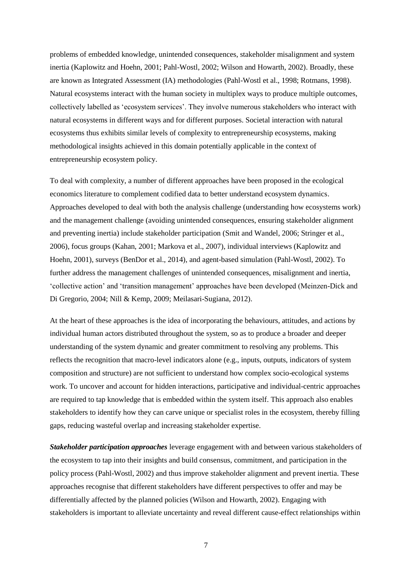problems of embedded knowledge, unintended consequences, stakeholder misalignment and system inertia (Kaplowitz and Hoehn, 2001; Pahl-Wostl, 2002; Wilson and Howarth, 2002). Broadly, these are known as Integrated Assessment (IA) methodologies (Pahl-Wostl et al., 1998; Rotmans, 1998). Natural ecosystems interact with the human society in multiplex ways to produce multiple outcomes, collectively labelled as 'ecosystem services'. They involve numerous stakeholders who interact with natural ecosystems in different ways and for different purposes. Societal interaction with natural ecosystems thus exhibits similar levels of complexity to entrepreneurship ecosystems, making methodological insights achieved in this domain potentially applicable in the context of entrepreneurship ecosystem policy.

To deal with complexity, a number of different approaches have been proposed in the ecological economics literature to complement codified data to better understand ecosystem dynamics. Approaches developed to deal with both the analysis challenge (understanding how ecosystems work) and the management challenge (avoiding unintended consequences, ensuring stakeholder alignment and preventing inertia) include stakeholder participation (Smit and Wandel, 2006; Stringer et al., 2006), focus groups (Kahan, 2001; Markova et al., 2007), individual interviews (Kaplowitz and Hoehn, 2001), surveys (BenDor et al., 2014), and agent-based simulation (Pahl-Wostl, 2002). To further address the management challenges of unintended consequences, misalignment and inertia, 'collective action' and 'transition management' approaches have been developed (Meinzen-Dick and Di Gregorio, 2004; Nill & Kemp, 2009; Meilasari-Sugiana, 2012).

At the heart of these approaches is the idea of incorporating the behaviours, attitudes, and actions by individual human actors distributed throughout the system, so as to produce a broader and deeper understanding of the system dynamic and greater commitment to resolving any problems. This reflects the recognition that macro-level indicators alone (e.g., inputs, outputs, indicators of system composition and structure) are not sufficient to understand how complex socio-ecological systems work. To uncover and account for hidden interactions, participative and individual-centric approaches are required to tap knowledge that is embedded within the system itself. This approach also enables stakeholders to identify how they can carve unique or specialist roles in the ecosystem, thereby filling gaps, reducing wasteful overlap and increasing stakeholder expertise.

*Stakeholder participation approaches* leverage engagement with and between various stakeholders of the ecosystem to tap into their insights and build consensus, commitment, and participation in the policy process (Pahl-Wostl, 2002) and thus improve stakeholder alignment and prevent inertia. These approaches recognise that different stakeholders have different perspectives to offer and may be differentially affected by the planned policies (Wilson and Howarth, 2002). Engaging with stakeholders is important to alleviate uncertainty and reveal different cause-effect relationships within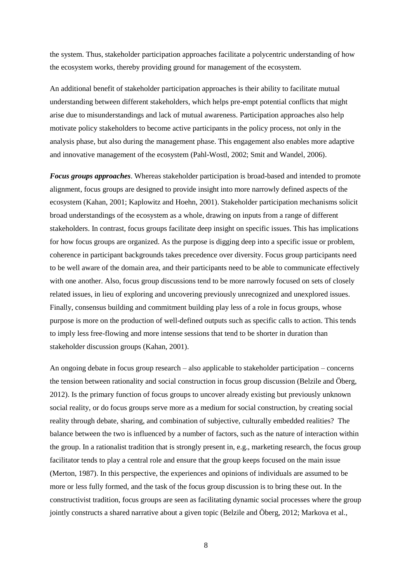the system. Thus, stakeholder participation approaches facilitate a polycentric understanding of how the ecosystem works, thereby providing ground for management of the ecosystem.

An additional benefit of stakeholder participation approaches is their ability to facilitate mutual understanding between different stakeholders, which helps pre-empt potential conflicts that might arise due to misunderstandings and lack of mutual awareness. Participation approaches also help motivate policy stakeholders to become active participants in the policy process, not only in the analysis phase, but also during the management phase. This engagement also enables more adaptive and innovative management of the ecosystem (Pahl-Wostl, 2002; Smit and Wandel, 2006).

*Focus groups approaches*. Whereas stakeholder participation is broad-based and intended to promote alignment, focus groups are designed to provide insight into more narrowly defined aspects of the ecosystem (Kahan, 2001; Kaplowitz and Hoehn, 2001). Stakeholder participation mechanisms solicit broad understandings of the ecosystem as a whole, drawing on inputs from a range of different stakeholders. In contrast, focus groups facilitate deep insight on specific issues. This has implications for how focus groups are organized. As the purpose is digging deep into a specific issue or problem, coherence in participant backgrounds takes precedence over diversity. Focus group participants need to be well aware of the domain area, and their participants need to be able to communicate effectively with one another. Also, focus group discussions tend to be more narrowly focused on sets of closely related issues, in lieu of exploring and uncovering previously unrecognized and unexplored issues. Finally, consensus building and commitment building play less of a role in focus groups, whose purpose is more on the production of well-defined outputs such as specific calls to action. This tends to imply less free-flowing and more intense sessions that tend to be shorter in duration than stakeholder discussion groups (Kahan, 2001).

An ongoing debate in focus group research – also applicable to stakeholder participation – concerns the tension between rationality and social construction in focus group discussion (Belzile and Öberg, 2012). Is the primary function of focus groups to uncover already existing but previously unknown social reality, or do focus groups serve more as a medium for social construction, by creating social reality through debate, sharing, and combination of subjective, culturally embedded realities? The balance between the two is influenced by a number of factors, such as the nature of interaction within the group. In a rationalist tradition that is strongly present in, e.g., marketing research, the focus group facilitator tends to play a central role and ensure that the group keeps focused on the main issue (Merton, 1987). In this perspective, the experiences and opinions of individuals are assumed to be more or less fully formed, and the task of the focus group discussion is to bring these out. In the constructivist tradition, focus groups are seen as facilitating dynamic social processes where the group jointly constructs a shared narrative about a given topic (Belzile and Öberg, 2012; Markova et al.,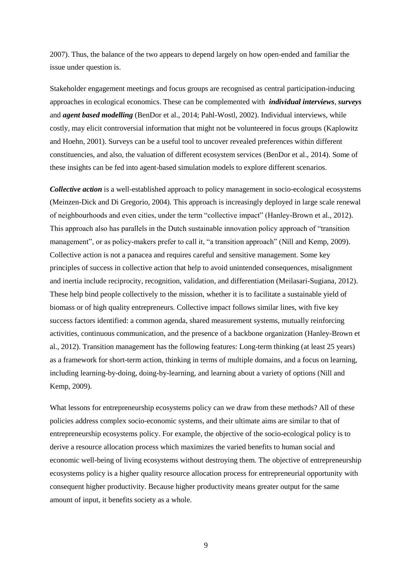2007). Thus, the balance of the two appears to depend largely on how open-ended and familiar the issue under question is.

Stakeholder engagement meetings and focus groups are recognised as central participation-inducing approaches in ecological economics. These can be complemented with *individual interviews*, *surveys* and *agent based modelling* (BenDor et al., 2014; Pahl-Wostl, 2002). Individual interviews, while costly, may elicit controversial information that might not be volunteered in focus groups (Kaplowitz and Hoehn, 2001). Surveys can be a useful tool to uncover revealed preferences within different constituencies, and also, the valuation of different ecosystem services (BenDor et al., 2014). Some of these insights can be fed into agent-based simulation models to explore different scenarios.

*Collective action* is a well-established approach to policy management in socio-ecological ecosystems (Meinzen-Dick and Di Gregorio, 2004). This approach is increasingly deployed in large scale renewal of neighbourhoods and even cities, under the term "collective impact" (Hanley-Brown et al., 2012). This approach also has parallels in the Dutch sustainable innovation policy approach of "transition management", or as policy-makers prefer to call it, "a transition approach" (Nill and Kemp, 2009). Collective action is not a panacea and requires careful and sensitive management. Some key principles of success in collective action that help to avoid unintended consequences, misalignment and inertia include reciprocity, recognition, validation, and differentiation (Meilasari-Sugiana, 2012). These help bind people collectively to the mission, whether it is to facilitate a sustainable yield of biomass or of high quality entrepreneurs. Collective impact follows similar lines, with five key success factors identified: a common agenda, shared measurement systems, mutually reinforcing activities, continuous communication, and the presence of a backbone organization (Hanley-Brown et al., 2012). Transition management has the following features: Long-term thinking (at least 25 years) as a framework for short-term action, thinking in terms of multiple domains, and a focus on learning, including learning-by-doing, doing-by-learning, and learning about a variety of options (Nill and Kemp, 2009).

What lessons for entrepreneurship ecosystems policy can we draw from these methods? All of these policies address complex socio-economic systems, and their ultimate aims are similar to that of entrepreneurship ecosystems policy. For example, the objective of the socio-ecological policy is to derive a resource allocation process which maximizes the varied benefits to human social and economic well-being of living ecosystems without destroying them. The objective of entrepreneurship ecosystems policy is a higher quality resource allocation process for entrepreneurial opportunity with consequent higher productivity. Because higher productivity means greater output for the same amount of input, it benefits society as a whole.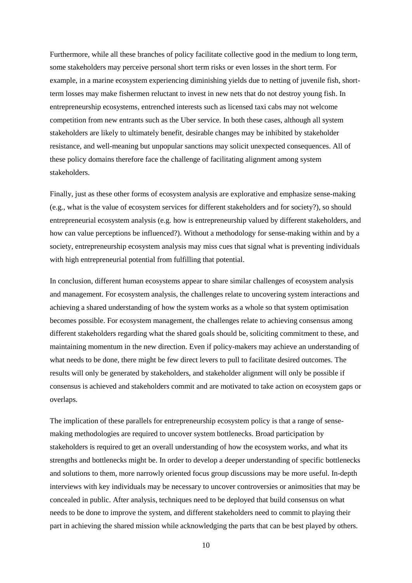Furthermore, while all these branches of policy facilitate collective good in the medium to long term, some stakeholders may perceive personal short term risks or even losses in the short term. For example, in a marine ecosystem experiencing diminishing yields due to netting of juvenile fish, shortterm losses may make fishermen reluctant to invest in new nets that do not destroy young fish. In entrepreneurship ecosystems, entrenched interests such as licensed taxi cabs may not welcome competition from new entrants such as the Uber service. In both these cases, although all system stakeholders are likely to ultimately benefit, desirable changes may be inhibited by stakeholder resistance, and well-meaning but unpopular sanctions may solicit unexpected consequences. All of these policy domains therefore face the challenge of facilitating alignment among system stakeholders.

Finally, just as these other forms of ecosystem analysis are explorative and emphasize sense-making (e.g., what is the value of ecosystem services for different stakeholders and for society?), so should entrepreneurial ecosystem analysis (e.g. how is entrepreneurship valued by different stakeholders, and how can value perceptions be influenced?). Without a methodology for sense-making within and by a society, entrepreneurship ecosystem analysis may miss cues that signal what is preventing individuals with high entrepreneurial potential from fulfilling that potential.

In conclusion, different human ecosystems appear to share similar challenges of ecosystem analysis and management. For ecosystem analysis, the challenges relate to uncovering system interactions and achieving a shared understanding of how the system works as a whole so that system optimisation becomes possible. For ecosystem management, the challenges relate to achieving consensus among different stakeholders regarding what the shared goals should be, soliciting commitment to these, and maintaining momentum in the new direction. Even if policy-makers may achieve an understanding of what needs to be done, there might be few direct levers to pull to facilitate desired outcomes. The results will only be generated by stakeholders, and stakeholder alignment will only be possible if consensus is achieved and stakeholders commit and are motivated to take action on ecosystem gaps or overlaps.

The implication of these parallels for entrepreneurship ecosystem policy is that a range of sensemaking methodologies are required to uncover system bottlenecks. Broad participation by stakeholders is required to get an overall understanding of how the ecosystem works, and what its strengths and bottlenecks might be. In order to develop a deeper understanding of specific bottlenecks and solutions to them, more narrowly oriented focus group discussions may be more useful. In-depth interviews with key individuals may be necessary to uncover controversies or animosities that may be concealed in public. After analysis, techniques need to be deployed that build consensus on what needs to be done to improve the system, and different stakeholders need to commit to playing their part in achieving the shared mission while acknowledging the parts that can be best played by others.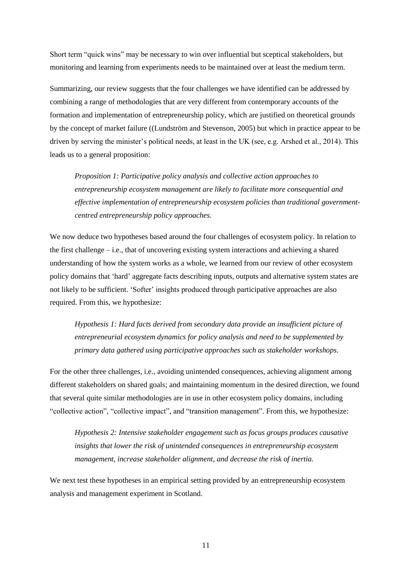Short term "quick wins" may be necessary to win over influential but sceptical stakeholders, but monitoring and learning from experiments needs to be maintained over at least the medium term.

Summarizing, our review suggests that the four challenges we have identified can be addressed by combining a range of methodologies that are very different from contemporary accounts of the formation and implementation of entrepreneurship policy, which are justified on theoretical grounds by the concept of market failure ((Lundström and Stevenson, 2005) but which in practice appear to be driven by serving the minister's political needs, at least in the UK (see, e.g. Arshed et al., 2014). This leads us to a general proposition:

*Proposition 1: Participative policy analysis and collective action approaches to entrepreneurship ecosystem management are likely to facilitate more consequential and effective implementation of entrepreneurship ecosystem policies than traditional governmentcentred entrepreneurship policy approaches.*

We now deduce two hypotheses based around the four challenges of ecosystem policy. In relation to the first challenge – i.e., that of uncovering existing system interactions and achieving a shared understanding of how the system works as a whole, we learned from our review of other ecosystem policy domains that 'hard' aggregate facts describing inputs, outputs and alternative system states are not likely to be sufficient. 'Softer' insights produced through participative approaches are also required. From this, we hypothesize:

*Hypothesis 1: Hard facts derived from secondary data provide an insufficient picture of entrepreneurial ecosystem dynamics for policy analysis and need to be supplemented by primary data gathered using participative approaches such as stakeholder workshops.*

For the other three challenges, i.e., avoiding unintended consequences, achieving alignment among different stakeholders on shared goals; and maintaining momentum in the desired direction, we found that several quite similar methodologies are in use in other ecosystem policy domains, including "collective action", "collective impact", and "transition management". From this, we hypothesize:

*Hypothesis 2: Intensive stakeholder engagement such as focus groups produces causative insights that lower the risk of unintended consequences in entrepreneurship ecosystem management, increase stakeholder alignment, and decrease the risk of inertia.*

We next test these hypotheses in an empirical setting provided by an entrepreneurship ecosystem analysis and management experiment in Scotland.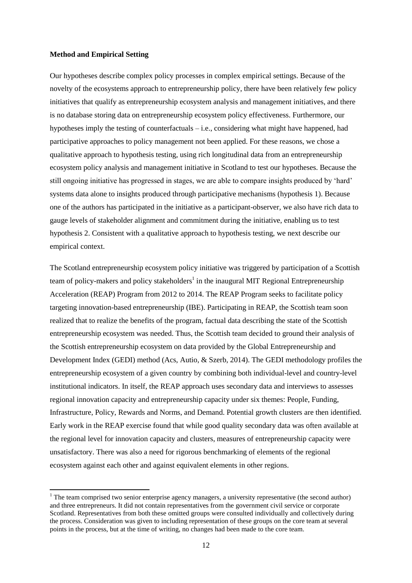#### **Method and Empirical Setting**

-

Our hypotheses describe complex policy processes in complex empirical settings. Because of the novelty of the ecosystems approach to entrepreneurship policy, there have been relatively few policy initiatives that qualify as entrepreneurship ecosystem analysis and management initiatives, and there is no database storing data on entrepreneurship ecosystem policy effectiveness. Furthermore, our hypotheses imply the testing of counterfactuals – i.e., considering what might have happened, had participative approaches to policy management not been applied. For these reasons, we chose a qualitative approach to hypothesis testing, using rich longitudinal data from an entrepreneurship ecosystem policy analysis and management initiative in Scotland to test our hypotheses. Because the still ongoing initiative has progressed in stages, we are able to compare insights produced by 'hard' systems data alone to insights produced through participative mechanisms (hypothesis 1). Because one of the authors has participated in the initiative as a participant-observer, we also have rich data to gauge levels of stakeholder alignment and commitment during the initiative, enabling us to test hypothesis 2. Consistent with a qualitative approach to hypothesis testing, we next describe our empirical context.

The Scotland entrepreneurship ecosystem policy initiative was triggered by participation of a Scottish team of policy-makers and policy stakeholders<sup>1</sup> in the inaugural MIT Regional Entrepreneurship Acceleration (REAP) Program from 2012 to 2014. The REAP Program seeks to facilitate policy targeting innovation-based entrepreneurship (IBE). Participating in REAP, the Scottish team soon realized that to realize the benefits of the program, factual data describing the state of the Scottish entrepreneurship ecosystem was needed. Thus, the Scottish team decided to ground their analysis of the Scottish entrepreneurship ecosystem on data provided by the Global Entrepreneurship and Development Index (GEDI) method (Acs, Autio, & Szerb, 2014). The GEDI methodology profiles the entrepreneurship ecosystem of a given country by combining both individual-level and country-level institutional indicators. In itself, the REAP approach uses secondary data and interviews to assesses regional innovation capacity and entrepreneurship capacity under six themes: People, Funding, Infrastructure, Policy, Rewards and Norms, and Demand. Potential growth clusters are then identified. Early work in the REAP exercise found that while good quality secondary data was often available at the regional level for innovation capacity and clusters, measures of entrepreneurship capacity were unsatisfactory. There was also a need for rigorous benchmarking of elements of the regional ecosystem against each other and against equivalent elements in other regions.

 $1$ . The team comprised two senior enterprise agency managers, a university representative (the second author) and three entrepreneurs. It did not contain representatives from the government civil service or corporate Scotland. Representatives from both these omitted groups were consulted individually and collectively during the process. Consideration was given to including representation of these groups on the core team at several points in the process, but at the time of writing, no changes had been made to the core team.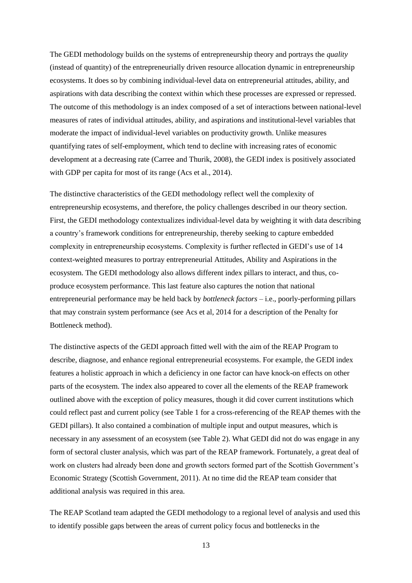The GEDI methodology builds on the systems of entrepreneurship theory and portrays the *quality* (instead of quantity) of the entrepreneurially driven resource allocation dynamic in entrepreneurship ecosystems. It does so by combining individual-level data on entrepreneurial attitudes, ability, and aspirations with data describing the context within which these processes are expressed or repressed. The outcome of this methodology is an index composed of a set of interactions between national-level measures of rates of individual attitudes, ability, and aspirations and institutional-level variables that moderate the impact of individual-level variables on productivity growth. Unlike measures quantifying rates of self-employment, which tend to decline with increasing rates of economic development at a decreasing rate (Carree and Thurik, 2008), the GEDI index is positively associated with GDP per capita for most of its range (Acs et al., 2014).

The distinctive characteristics of the GEDI methodology reflect well the complexity of entrepreneurship ecosystems, and therefore, the policy challenges described in our theory section. First, the GEDI methodology contextualizes individual-level data by weighting it with data describing a country's framework conditions for entrepreneurship, thereby seeking to capture embedded complexity in entrepreneurship ecosystems. Complexity is further reflected in GEDI's use of 14 context-weighted measures to portray entrepreneurial Attitudes, Ability and Aspirations in the ecosystem. The GEDI methodology also allows different index pillars to interact, and thus, coproduce ecosystem performance. This last feature also captures the notion that national entrepreneurial performance may be held back by *bottleneck factors* – i.e., poorly-performing pillars that may constrain system performance (see Acs et al, 2014 for a description of the Penalty for Bottleneck method).

The distinctive aspects of the GEDI approach fitted well with the aim of the REAP Program to describe, diagnose, and enhance regional entrepreneurial ecosystems. For example, the GEDI index features a holistic approach in which a deficiency in one factor can have knock-on effects on other parts of the ecosystem. The index also appeared to cover all the elements of the REAP framework outlined above with the exception of policy measures, though it did cover current institutions which could reflect past and current policy (see Table 1 for a cross-referencing of the REAP themes with the GEDI pillars). It also contained a combination of multiple input and output measures, which is necessary in any assessment of an ecosystem (see Table 2). What GEDI did not do was engage in any form of sectoral cluster analysis, which was part of the REAP framework. Fortunately, a great deal of work on clusters had already been done and growth sectors formed part of the Scottish Government's Economic Strategy (Scottish Government, 2011). At no time did the REAP team consider that additional analysis was required in this area.

The REAP Scotland team adapted the GEDI methodology to a regional level of analysis and used this to identify possible gaps between the areas of current policy focus and bottlenecks in the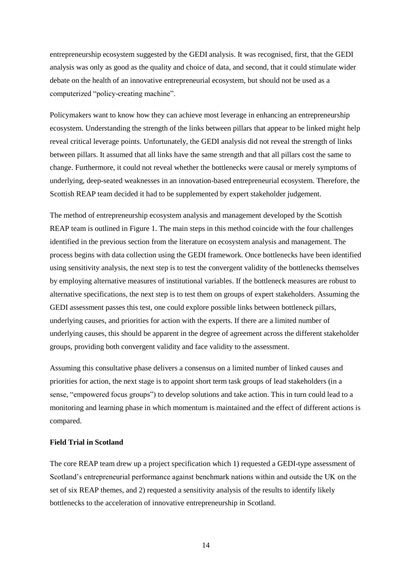entrepreneurship ecosystem suggested by the GEDI analysis. It was recognised, first, that the GEDI analysis was only as good as the quality and choice of data, and second, that it could stimulate wider debate on the health of an innovative entrepreneurial ecosystem, but should not be used as a computerized "policy-creating machine".

Policymakers want to know how they can achieve most leverage in enhancing an entrepreneurship ecosystem. Understanding the strength of the links between pillars that appear to be linked might help reveal critical leverage points. Unfortunately, the GEDI analysis did not reveal the strength of links between pillars. It assumed that all links have the same strength and that all pillars cost the same to change. Furthermore, it could not reveal whether the bottlenecks were causal or merely symptoms of underlying, deep-seated weaknesses in an innovation-based entrepreneurial ecosystem. Therefore, the Scottish REAP team decided it had to be supplemented by expert stakeholder judgement.

The method of entrepreneurship ecosystem analysis and management developed by the Scottish REAP team is outlined in Figure 1. The main steps in this method coincide with the four challenges identified in the previous section from the literature on ecosystem analysis and management. The process begins with data collection using the GEDI framework. Once bottlenecks have been identified using sensitivity analysis, the next step is to test the convergent validity of the bottlenecks themselves by employing alternative measures of institutional variables. If the bottleneck measures are robust to alternative specifications, the next step is to test them on groups of expert stakeholders. Assuming the GEDI assessment passes this test, one could explore possible links between bottleneck pillars, underlying causes, and priorities for action with the experts. If there are a limited number of underlying causes, this should be apparent in the degree of agreement across the different stakeholder groups, providing both convergent validity and face validity to the assessment.

Assuming this consultative phase delivers a consensus on a limited number of linked causes and priorities for action, the next stage is to appoint short term task groups of lead stakeholders (in a sense, "empowered focus groups") to develop solutions and take action. This in turn could lead to a monitoring and learning phase in which momentum is maintained and the effect of different actions is compared.

#### **Field Trial in Scotland**

The core REAP team drew up a project specification which 1) requested a GEDI-type assessment of Scotland's entrepreneurial performance against benchmark nations within and outside the UK on the set of six REAP themes, and 2) requested a sensitivity analysis of the results to identify likely bottlenecks to the acceleration of innovative entrepreneurship in Scotland.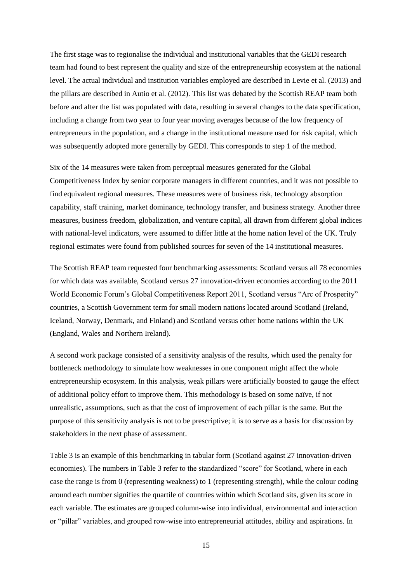The first stage was to regionalise the individual and institutional variables that the GEDI research team had found to best represent the quality and size of the entrepreneurship ecosystem at the national level. The actual individual and institution variables employed are described in Levie et al. (2013) and the pillars are described in Autio et al. (2012). This list was debated by the Scottish REAP team both before and after the list was populated with data, resulting in several changes to the data specification, including a change from two year to four year moving averages because of the low frequency of entrepreneurs in the population, and a change in the institutional measure used for risk capital, which was subsequently adopted more generally by GEDI. This corresponds to step 1 of the method.

Six of the 14 measures were taken from perceptual measures generated for the Global Competitiveness Index by senior corporate managers in different countries, and it was not possible to find equivalent regional measures. These measures were of business risk, technology absorption capability, staff training, market dominance, technology transfer, and business strategy. Another three measures, business freedom, globalization, and venture capital, all drawn from different global indices with national-level indicators, were assumed to differ little at the home nation level of the UK. Truly regional estimates were found from published sources for seven of the 14 institutional measures.

The Scottish REAP team requested four benchmarking assessments: Scotland versus all 78 economies for which data was available, Scotland versus 27 innovation-driven economies according to the 2011 World Economic Forum's Global Competitiveness Report 2011, Scotland versus "Arc of Prosperity" countries, a Scottish Government term for small modern nations located around Scotland (Ireland, Iceland, Norway, Denmark, and Finland) and Scotland versus other home nations within the UK (England, Wales and Northern Ireland).

A second work package consisted of a sensitivity analysis of the results, which used the penalty for bottleneck methodology to simulate how weaknesses in one component might affect the whole entrepreneurship ecosystem. In this analysis, weak pillars were artificially boosted to gauge the effect of additional policy effort to improve them. This methodology is based on some naïve, if not unrealistic, assumptions, such as that the cost of improvement of each pillar is the same. But the purpose of this sensitivity analysis is not to be prescriptive; it is to serve as a basis for discussion by stakeholders in the next phase of assessment.

Table 3 is an example of this benchmarking in tabular form (Scotland against 27 innovation-driven economies). The numbers in Table 3 refer to the standardized "score" for Scotland, where in each case the range is from 0 (representing weakness) to 1 (representing strength), while the colour coding around each number signifies the quartile of countries within which Scotland sits, given its score in each variable. The estimates are grouped column-wise into individual, environmental and interaction or "pillar" variables, and grouped row-wise into entrepreneurial attitudes, ability and aspirations. In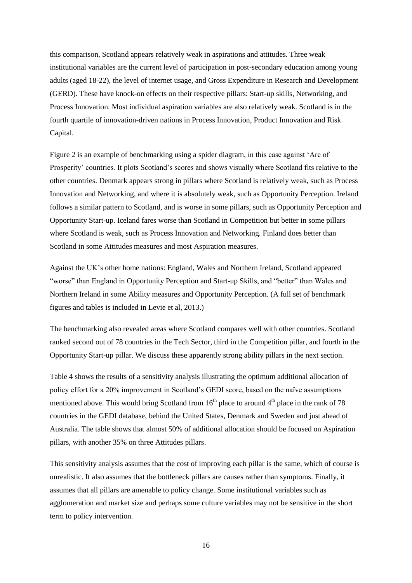this comparison, Scotland appears relatively weak in aspirations and attitudes. Three weak institutional variables are the current level of participation in post-secondary education among young adults (aged 18-22), the level of internet usage, and Gross Expenditure in Research and Development (GERD). These have knock-on effects on their respective pillars: Start-up skills, Networking, and Process Innovation. Most individual aspiration variables are also relatively weak. Scotland is in the fourth quartile of innovation-driven nations in Process Innovation, Product Innovation and Risk Capital.

Figure 2 is an example of benchmarking using a spider diagram, in this case against 'Arc of Prosperity' countries. It plots Scotland's scores and shows visually where Scotland fits relative to the other countries. Denmark appears strong in pillars where Scotland is relatively weak, such as Process Innovation and Networking, and where it is absolutely weak, such as Opportunity Perception. Ireland follows a similar pattern to Scotland, and is worse in some pillars, such as Opportunity Perception and Opportunity Start-up. Iceland fares worse than Scotland in Competition but better in some pillars where Scotland is weak, such as Process Innovation and Networking. Finland does better than Scotland in some Attitudes measures and most Aspiration measures.

Against the UK's other home nations: England, Wales and Northern Ireland, Scotland appeared "worse" than England in Opportunity Perception and Start-up Skills, and "better" than Wales and Northern Ireland in some Ability measures and Opportunity Perception. (A full set of benchmark figures and tables is included in Levie et al, 2013.)

The benchmarking also revealed areas where Scotland compares well with other countries. Scotland ranked second out of 78 countries in the Tech Sector, third in the Competition pillar, and fourth in the Opportunity Start-up pillar. We discuss these apparently strong ability pillars in the next section.

Table 4 shows the results of a sensitivity analysis illustrating the optimum additional allocation of policy effort for a 20% improvement in Scotland's GEDI score, based on the naïve assumptions mentioned above. This would bring Scotland from  $16<sup>th</sup>$  place to around  $4<sup>th</sup>$  place in the rank of 78 countries in the GEDI database, behind the United States, Denmark and Sweden and just ahead of Australia. The table shows that almost 50% of additional allocation should be focused on Aspiration pillars, with another 35% on three Attitudes pillars.

This sensitivity analysis assumes that the cost of improving each pillar is the same, which of course is unrealistic. It also assumes that the bottleneck pillars are causes rather than symptoms. Finally, it assumes that all pillars are amenable to policy change. Some institutional variables such as agglomeration and market size and perhaps some culture variables may not be sensitive in the short term to policy intervention.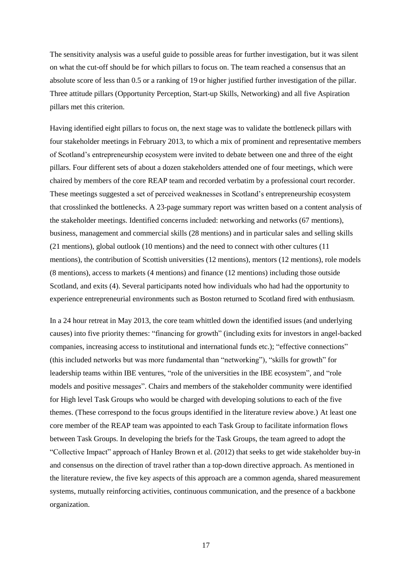The sensitivity analysis was a useful guide to possible areas for further investigation, but it was silent on what the cut-off should be for which pillars to focus on. The team reached a consensus that an absolute score of less than 0.5 or a ranking of 19 or higher justified further investigation of the pillar. Three attitude pillars (Opportunity Perception, Start-up Skills, Networking) and all five Aspiration pillars met this criterion.

Having identified eight pillars to focus on, the next stage was to validate the bottleneck pillars with four stakeholder meetings in February 2013, to which a mix of prominent and representative members of Scotland's entrepreneurship ecosystem were invited to debate between one and three of the eight pillars. Four different sets of about a dozen stakeholders attended one of four meetings, which were chaired by members of the core REAP team and recorded verbatim by a professional court recorder. These meetings suggested a set of perceived weaknesses in Scotland's entrepreneurship ecosystem that crosslinked the bottlenecks. A 23-page summary report was written based on a content analysis of the stakeholder meetings. Identified concerns included: networking and networks (67 mentions), business, management and commercial skills (28 mentions) and in particular sales and selling skills (21 mentions), global outlook (10 mentions) and the need to connect with other cultures (11 mentions), the contribution of Scottish universities (12 mentions), mentors (12 mentions), role models (8 mentions), access to markets (4 mentions) and finance (12 mentions) including those outside Scotland, and exits (4). Several participants noted how individuals who had had the opportunity to experience entrepreneurial environments such as Boston returned to Scotland fired with enthusiasm.

In a 24 hour retreat in May 2013, the core team whittled down the identified issues (and underlying causes) into five priority themes: "financing for growth" (including exits for investors in angel-backed companies, increasing access to institutional and international funds etc.); "effective connections" (this included networks but was more fundamental than "networking"), "skills for growth" for leadership teams within IBE ventures, "role of the universities in the IBE ecosystem", and "role models and positive messages". Chairs and members of the stakeholder community were identified for High level Task Groups who would be charged with developing solutions to each of the five themes. (These correspond to the focus groups identified in the literature review above.) At least one core member of the REAP team was appointed to each Task Group to facilitate information flows between Task Groups. In developing the briefs for the Task Groups, the team agreed to adopt the "Collective Impact" approach of Hanley Brown et al. (2012) that seeks to get wide stakeholder buy-in and consensus on the direction of travel rather than a top-down directive approach. As mentioned in the literature review, the five key aspects of this approach are a common agenda, shared measurement systems, mutually reinforcing activities, continuous communication, and the presence of a backbone organization.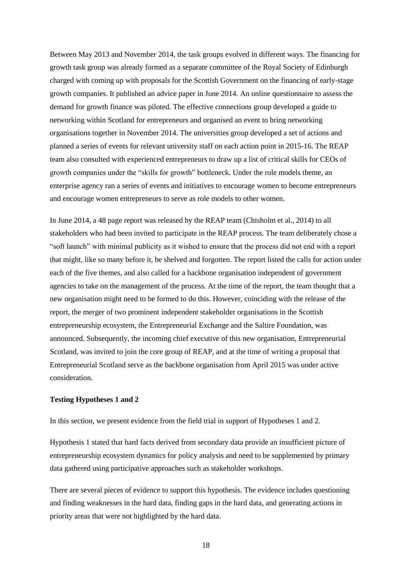Between May 2013 and November 2014, the task groups evolved in different ways. The financing for growth task group was already formed as a separate committee of the Royal Society of Edinburgh charged with coming up with proposals for the Scottish Government on the financing of early-stage growth companies. It published an advice paper in June 2014. An online questionnaire to assess the demand for growth finance was piloted. The effective connections group developed a guide to networking within Scotland for entrepreneurs and organised an event to bring networking organisations together in November 2014. The universities group developed a set of actions and planned a series of events for relevant university staff on each action point in 2015-16. The REAP team also consulted with experienced entrepreneurs to draw up a list of critical skills for CEOs of growth companies under the "skills for growth" bottleneck. Under the role models theme, an enterprise agency ran a series of events and initiatives to encourage women to become entrepreneurs and encourage women entrepreneurs to serve as role models to other women.

In June 2014, a 48 page report was released by the REAP team (Chisholm et al., 2014) to all stakeholders who had been invited to participate in the REAP process. The team deliberately chose a "soft launch" with minimal publicity as it wished to ensure that the process did not end with a report that might, like so many before it, be shelved and forgotten. The report listed the calls for action under each of the five themes, and also called for a backbone organisation independent of government agencies to take on the management of the process. At the time of the report, the team thought that a new organisation might need to be formed to do this. However, coinciding with the release of the report, the merger of two prominent independent stakeholder organisations in the Scottish entrepreneurship ecosystem, the Entrepreneurial Exchange and the Saltire Foundation, was announced. Subsequently, the incoming chief executive of this new organisation, Entrepreneurial Scotland, was invited to join the core group of REAP, and at the time of writing a proposal that Entrepreneurial Scotland serve as the backbone organisation from April 2015 was under active consideration.

#### **Testing Hypotheses 1 and 2**

In this section, we present evidence from the field trial in support of Hypotheses 1 and 2.

Hypothesis 1 stated that hard facts derived from secondary data provide an insufficient picture of entrepreneurship ecosystem dynamics for policy analysis and need to be supplemented by primary data gathered using participative approaches such as stakeholder workshops.

There are several pieces of evidence to support this hypothesis. The evidence includes questioning and finding weaknesses in the hard data, finding gaps in the hard data, and generating actions in priority areas that were not highlighted by the hard data.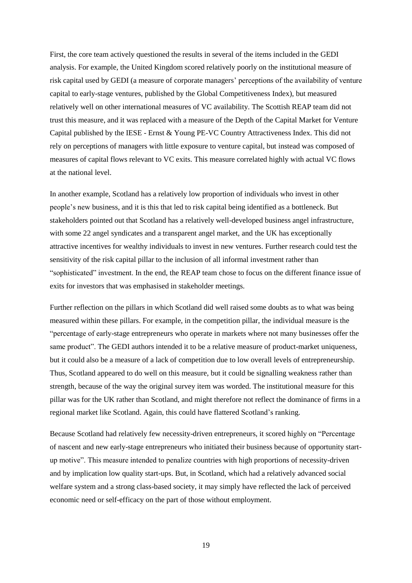First, the core team actively questioned the results in several of the items included in the GEDI analysis. For example, the United Kingdom scored relatively poorly on the institutional measure of risk capital used by GEDI (a measure of corporate managers' perceptions of the availability of venture capital to early-stage ventures, published by the Global Competitiveness Index), but measured relatively well on other international measures of VC availability. The Scottish REAP team did not trust this measure, and it was replaced with a measure of the Depth of the Capital Market for Venture Capital published by the IESE - Ernst & Young PE-VC Country Attractiveness Index. This did not rely on perceptions of managers with little exposure to venture capital, but instead was composed of measures of capital flows relevant to VC exits. This measure correlated highly with actual VC flows at the national level.

In another example, Scotland has a relatively low proportion of individuals who invest in other people's new business, and it is this that led to risk capital being identified as a bottleneck. But stakeholders pointed out that Scotland has a relatively well-developed business angel infrastructure, with some 22 angel syndicates and a transparent angel market, and the UK has exceptionally attractive incentives for wealthy individuals to invest in new ventures. Further research could test the sensitivity of the risk capital pillar to the inclusion of all informal investment rather than "sophisticated" investment. In the end, the REAP team chose to focus on the different finance issue of exits for investors that was emphasised in stakeholder meetings.

Further reflection on the pillars in which Scotland did well raised some doubts as to what was being measured within these pillars. For example, in the competition pillar, the individual measure is the "percentage of early-stage entrepreneurs who operate in markets where not many businesses offer the same product". The GEDI authors intended it to be a relative measure of product-market uniqueness, but it could also be a measure of a lack of competition due to low overall levels of entrepreneurship. Thus, Scotland appeared to do well on this measure, but it could be signalling weakness rather than strength, because of the way the original survey item was worded. The institutional measure for this pillar was for the UK rather than Scotland, and might therefore not reflect the dominance of firms in a regional market like Scotland. Again, this could have flattered Scotland's ranking.

Because Scotland had relatively few necessity-driven entrepreneurs, it scored highly on "Percentage of nascent and new early-stage entrepreneurs who initiated their business because of opportunity startup motive". This measure intended to penalize countries with high proportions of necessity-driven and by implication low quality start-ups. But, in Scotland, which had a relatively advanced social welfare system and a strong class-based society, it may simply have reflected the lack of perceived economic need or self-efficacy on the part of those without employment.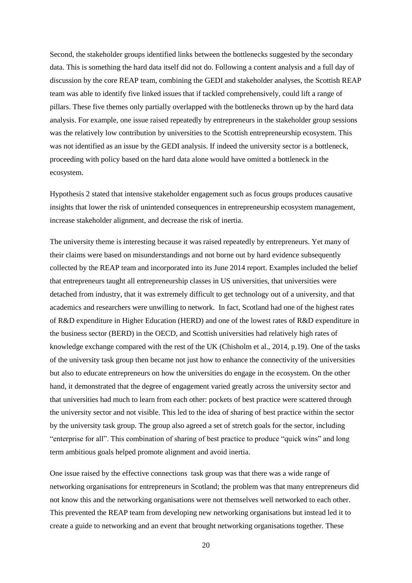Second, the stakeholder groups identified links between the bottlenecks suggested by the secondary data. This is something the hard data itself did not do. Following a content analysis and a full day of discussion by the core REAP team, combining the GEDI and stakeholder analyses, the Scottish REAP team was able to identify five linked issues that if tackled comprehensively, could lift a range of pillars. These five themes only partially overlapped with the bottlenecks thrown up by the hard data analysis. For example, one issue raised repeatedly by entrepreneurs in the stakeholder group sessions was the relatively low contribution by universities to the Scottish entrepreneurship ecosystem. This was not identified as an issue by the GEDI analysis. If indeed the university sector is a bottleneck, proceeding with policy based on the hard data alone would have omitted a bottleneck in the ecosystem.

Hypothesis 2 stated that intensive stakeholder engagement such as focus groups produces causative insights that lower the risk of unintended consequences in entrepreneurship ecosystem management, increase stakeholder alignment, and decrease the risk of inertia.

The university theme is interesting because it was raised repeatedly by entrepreneurs. Yet many of their claims were based on misunderstandings and not borne out by hard evidence subsequently collected by the REAP team and incorporated into its June 2014 report. Examples included the belief that entrepreneurs taught all entrepreneurship classes in US universities, that universities were detached from industry, that it was extremely difficult to get technology out of a university, and that academics and researchers were unwilling to network. In fact, Scotland had one of the highest rates of R&D expenditure in Higher Education (HERD) and one of the lowest rates of R&D expenditure in the business sector (BERD) in the OECD, and Scottish universities had relatively high rates of knowledge exchange compared with the rest of the UK (Chisholm et al., 2014, p.19). One of the tasks of the university task group then became not just how to enhance the connectivity of the universities but also to educate entrepreneurs on how the universities do engage in the ecosystem. On the other hand, it demonstrated that the degree of engagement varied greatly across the university sector and that universities had much to learn from each other: pockets of best practice were scattered through the university sector and not visible. This led to the idea of sharing of best practice within the sector by the university task group. The group also agreed a set of stretch goals for the sector, including "enterprise for all". This combination of sharing of best practice to produce "quick wins" and long term ambitious goals helped promote alignment and avoid inertia.

One issue raised by the effective connections task group was that there was a wide range of networking organisations for entrepreneurs in Scotland; the problem was that many entrepreneurs did not know this and the networking organisations were not themselves well networked to each other. This prevented the REAP team from developing new networking organisations but instead led it to create a guide to networking and an event that brought networking organisations together. These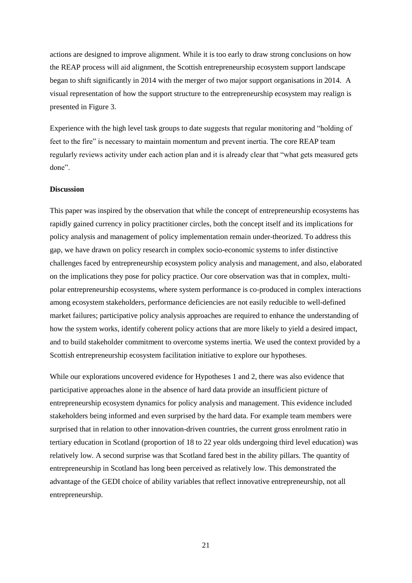actions are designed to improve alignment. While it is too early to draw strong conclusions on how the REAP process will aid alignment, the Scottish entrepreneurship ecosystem support landscape began to shift significantly in 2014 with the merger of two major support organisations in 2014. A visual representation of how the support structure to the entrepreneurship ecosystem may realign is presented in Figure 3.

Experience with the high level task groups to date suggests that regular monitoring and "holding of feet to the fire" is necessary to maintain momentum and prevent inertia. The core REAP team regularly reviews activity under each action plan and it is already clear that "what gets measured gets done".

#### **Discussion**

This paper was inspired by the observation that while the concept of entrepreneurship ecosystems has rapidly gained currency in policy practitioner circles, both the concept itself and its implications for policy analysis and management of policy implementation remain under-theorized. To address this gap, we have drawn on policy research in complex socio-economic systems to infer distinctive challenges faced by entrepreneurship ecosystem policy analysis and management, and also, elaborated on the implications they pose for policy practice. Our core observation was that in complex, multipolar entrepreneurship ecosystems, where system performance is co-produced in complex interactions among ecosystem stakeholders, performance deficiencies are not easily reducible to well-defined market failures; participative policy analysis approaches are required to enhance the understanding of how the system works, identify coherent policy actions that are more likely to yield a desired impact, and to build stakeholder commitment to overcome systems inertia. We used the context provided by a Scottish entrepreneurship ecosystem facilitation initiative to explore our hypotheses.

While our explorations uncovered evidence for Hypotheses 1 and 2, there was also evidence that participative approaches alone in the absence of hard data provide an insufficient picture of entrepreneurship ecosystem dynamics for policy analysis and management. This evidence included stakeholders being informed and even surprised by the hard data. For example team members were surprised that in relation to other innovation-driven countries, the current gross enrolment ratio in tertiary education in Scotland (proportion of 18 to 22 year olds undergoing third level education) was relatively low. A second surprise was that Scotland fared best in the ability pillars. The quantity of entrepreneurship in Scotland has long been perceived as relatively low. This demonstrated the advantage of the GEDI choice of ability variables that reflect innovative entrepreneurship, not all entrepreneurship.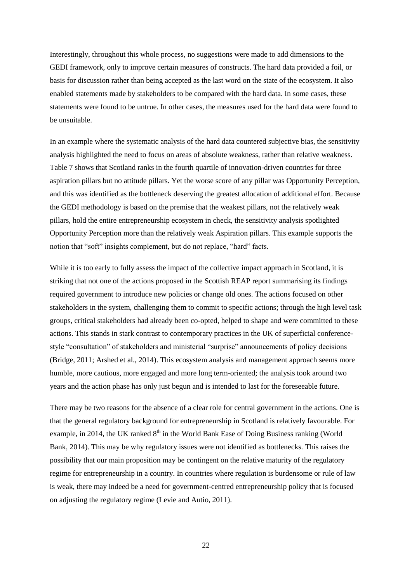Interestingly, throughout this whole process, no suggestions were made to add dimensions to the GEDI framework, only to improve certain measures of constructs. The hard data provided a foil, or basis for discussion rather than being accepted as the last word on the state of the ecosystem. It also enabled statements made by stakeholders to be compared with the hard data. In some cases, these statements were found to be untrue. In other cases, the measures used for the hard data were found to be unsuitable.

In an example where the systematic analysis of the hard data countered subjective bias, the sensitivity analysis highlighted the need to focus on areas of absolute weakness, rather than relative weakness. Table 7 shows that Scotland ranks in the fourth quartile of innovation-driven countries for three aspiration pillars but no attitude pillars. Yet the worse score of any pillar was Opportunity Perception, and this was identified as the bottleneck deserving the greatest allocation of additional effort. Because the GEDI methodology is based on the premise that the weakest pillars, not the relatively weak pillars, hold the entire entrepreneurship ecosystem in check, the sensitivity analysis spotlighted Opportunity Perception more than the relatively weak Aspiration pillars. This example supports the notion that "soft" insights complement, but do not replace, "hard" facts.

While it is too early to fully assess the impact of the collective impact approach in Scotland, it is striking that not one of the actions proposed in the Scottish REAP report summarising its findings required government to introduce new policies or change old ones. The actions focused on other stakeholders in the system, challenging them to commit to specific actions; through the high level task groups, critical stakeholders had already been co-opted, helped to shape and were committed to these actions. This stands in stark contrast to contemporary practices in the UK of superficial conferencestyle "consultation" of stakeholders and ministerial "surprise" announcements of policy decisions (Bridge, 2011; Arshed et al., 2014). This ecosystem analysis and management approach seems more humble, more cautious, more engaged and more long term-oriented; the analysis took around two years and the action phase has only just begun and is intended to last for the foreseeable future.

There may be two reasons for the absence of a clear role for central government in the actions. One is that the general regulatory background for entrepreneurship in Scotland is relatively favourable. For example, in 2014, the UK ranked  $8<sup>th</sup>$  in the World Bank Ease of Doing Business ranking (World Bank, 2014). This may be why regulatory issues were not identified as bottlenecks. This raises the possibility that our main proposition may be contingent on the relative maturity of the regulatory regime for entrepreneurship in a country. In countries where regulation is burdensome or rule of law is weak, there may indeed be a need for government-centred entrepreneurship policy that is focused on adjusting the regulatory regime (Levie and Autio, 2011).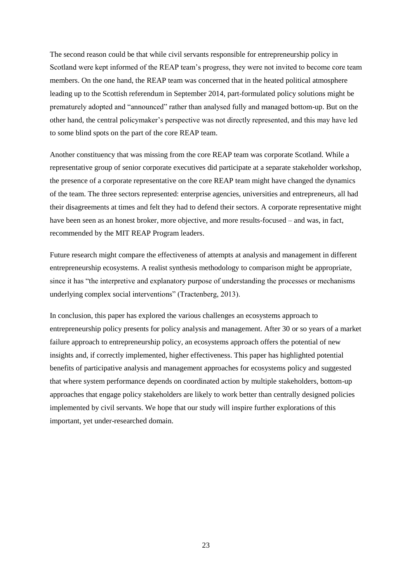The second reason could be that while civil servants responsible for entrepreneurship policy in Scotland were kept informed of the REAP team's progress, they were not invited to become core team members. On the one hand, the REAP team was concerned that in the heated political atmosphere leading up to the Scottish referendum in September 2014, part-formulated policy solutions might be prematurely adopted and "announced" rather than analysed fully and managed bottom-up. But on the other hand, the central policymaker's perspective was not directly represented, and this may have led to some blind spots on the part of the core REAP team.

Another constituency that was missing from the core REAP team was corporate Scotland. While a representative group of senior corporate executives did participate at a separate stakeholder workshop, the presence of a corporate representative on the core REAP team might have changed the dynamics of the team. The three sectors represented: enterprise agencies, universities and entrepreneurs, all had their disagreements at times and felt they had to defend their sectors. A corporate representative might have been seen as an honest broker, more objective, and more results-focused – and was, in fact, recommended by the MIT REAP Program leaders.

Future research might compare the effectiveness of attempts at analysis and management in different entrepreneurship ecosystems. A realist synthesis methodology to comparison might be appropriate, since it has "the interpretive and explanatory purpose of understanding the processes or mechanisms underlying complex social interventions" (Tractenberg, 2013).

In conclusion, this paper has explored the various challenges an ecosystems approach to entrepreneurship policy presents for policy analysis and management. After 30 or so years of a market failure approach to entrepreneurship policy, an ecosystems approach offers the potential of new insights and, if correctly implemented, higher effectiveness. This paper has highlighted potential benefits of participative analysis and management approaches for ecosystems policy and suggested that where system performance depends on coordinated action by multiple stakeholders, bottom-up approaches that engage policy stakeholders are likely to work better than centrally designed policies implemented by civil servants. We hope that our study will inspire further explorations of this important, yet under-researched domain.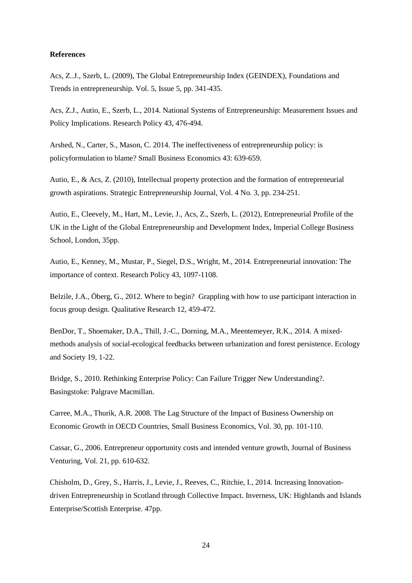#### **References**

Acs, Z..J., Szerb, L. (2009), The Global Entrepreneurship Index (GEINDEX), Foundations and Trends in entrepreneurship. Vol. 5, Issue 5, pp. 341-435.

Acs, Z.J., Autio, E., Szerb, L., 2014. National Systems of Entrepreneurship: Measurement Issues and Policy Implications. Research Policy 43, 476-494.

Arshed, N., Carter, S., Mason, C. 2014. The ineffectiveness of entrepreneurship policy: is policyformulation to blame? Small Business Economics 43: 639-659.

Autio, E., & Acs, Z. (2010), Intellectual property protection and the formation of entrepreneurial growth aspirations. Strategic Entrepreneurship Journal, Vol. 4 No. 3, pp. 234-251.

Autio, E., Cleevely, M., Hart, M., Levie, J., Acs, Z., Szerb, L. (2012), Entrepreneurial Profile of the UK in the Light of the Global Entrepreneurship and Development Index, Imperial College Business School, London, 35pp.

Autio, E., Kenney, M., Mustar, P., Siegel, D.S., Wright, M., 2014. Entrepreneurial innovation: The importance of context. Research Policy 43, 1097-1108.

Belzile, J.A., Öberg, G., 2012. Where to begin? Grappling with how to use participant interaction in focus group design. Qualitative Research 12, 459-472.

BenDor, T., Shoemaker, D.A., Thill, J.-C., Dorning, M.A., Meentemeyer, R.K., 2014. A mixedmethods analysis of social-ecological feedbacks between urbanization and forest persistence. Ecology and Society 19, 1-22.

Bridge, S., 2010. Rethinking Enterprise Policy: Can Failure Trigger New Understanding?. Basingstoke: Palgrave Macmillan.

Carree, M.A., Thurik, A.R. 2008. The Lag Structure of the Impact of Business Ownership on Economic Growth in OECD Countries, Small Business Economics*,* Vol. 30, pp. 101-110.

Cassar, G., 2006. Entrepreneur opportunity costs and intended venture growth, Journal of Business Venturing, Vol. 21, pp. 610-632.

Chisholm, D., Grey, S., Harris, J., Levie, J., Reeves, C., Ritchie, I., 2014. Increasing Innovationdriven Entrepreneurship in Scotland through Collective Impact. Inverness, UK: Highlands and Islands Enterprise/Scottish Enterprise. 47pp.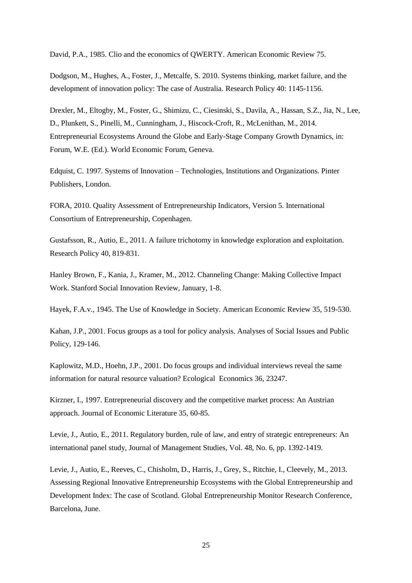David, P.A., 1985. Clio and the economics of QWERTY. American Economic Review 75.

Dodgson, M., Hughes, A., Foster, J., Metcalfe, S. 2010. Systems thinking, market failure, and the development of innovation policy: The case of Australia. Research Policy 40: 1145-1156.

Drexler, M., Eltogby, M., Foster, G., Shimizu, C., Ciesinski, S., Davila, A., Hassan, S.Z., Jia, N., Lee, D., Plunkett, S., Pinelli, M., Cunningham, J., Hiscock-Croft, R., McLenithan, M., 2014. Entrepreneurial Ecosystems Around the Globe and Early-Stage Company Growth Dynamics, in: Forum, W.E. (Ed.). World Economic Forum, Geneva.

Edquist, C. 1997. Systems of Innovation – Technologies, Institutions and Organizations. Pinter Publishers, London.

FORA, 2010. Quality Assessment of Entrepreneurship Indicators, Version 5. International Consortium of Entrepreneurship, Copenhagen.

Gustafsson, R., Autio, E., 2011. A failure trichotomy in knowledge exploration and exploitation. Research Policy 40, 819-831.

Hanley Brown, F., Kania, J., Kramer, M., 2012. Channeling Change: Making Collective Impact Work. Stanford Social Innovation Review, January, 1-8.

Hayek, F.A.v., 1945. The Use of Knowledge in Society. American Economic Review 35, 519-530.

Kahan, J.P., 2001. Focus groups as a tool for policy analysis. Analyses of Social Issues and Public Policy, 129-146.

Kaplowitz, M.D., Hoehn, J.P., 2001. Do focus groups and individual interviews reveal the same information for natural resource valuation? Ecological Economics 36, 23247.

Kirzner, I., 1997. Entrepreneurial discovery and the competitive market process: An Austrian approach. Journal of Economic Literature 35, 60-85.

Levie, J., Autio, E., 2011. Regulatory burden, rule of law, and entry of strategic entrepreneurs: An international panel study, Journal of Management Studies, Vol. 48, No. 6, pp. 1392-1419.

Levie, J., Autio, E., Reeves, C., Chisholm, D., Harris, J., Grey, S., Ritchie, I., Cleevely, M., 2013. Assessing Regional Innovative Entrepreneurship Ecosystems with the Global Entrepreneurship and Development Index: The case of Scotland. Global Entrepreneurship Monitor Research Conference, Barcelona, June.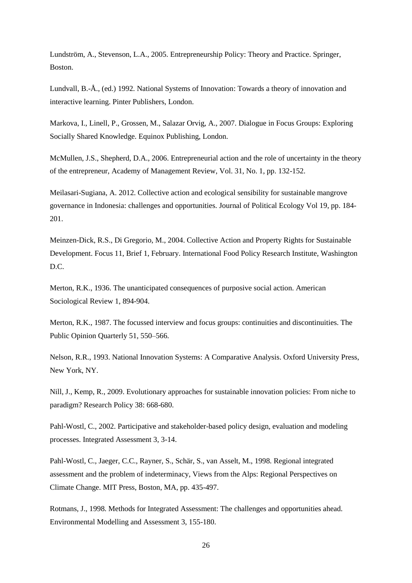Lundström, A., Stevenson, L.A., 2005. Entrepreneurship Policy: Theory and Practice. Springer, Boston.

Lundvall, B.-Å., (ed.) 1992. National Systems of Innovation: Towards a theory of innovation and interactive learning. Pinter Publishers, London.

Markova, I., Linell, P., Grossen, M., Salazar Orvig, A., 2007. Dialogue in Focus Groups: Exploring Socially Shared Knowledge. Equinox Publishing, London.

McMullen, J.S., Shepherd, D.A., 2006. Entrepreneurial action and the role of uncertainty in the theory of the entrepreneur, Academy of Management Review, Vol. 31, No. 1, pp. 132-152.

Meilasari-Sugiana, A. 2012. Collective action and ecological sensibility for sustainable mangrove governance in Indonesia: challenges and opportunities. Journal of Political Ecology Vol 19, pp. 184- 201.

Meinzen-Dick, R.S., Di Gregorio, M., 2004. Collective Action and Property Rights for Sustainable Development. Focus 11, Brief 1, February. International Food Policy Research Institute, Washington D.C.

Merton, R.K., 1936. The unanticipated consequences of purposive social action. American Sociological Review 1, 894-904.

Merton, R.K., 1987. The focussed interview and focus groups: continuities and discontinuities. The Public Opinion Quarterly 51, 550–566.

Nelson, R.R., 1993. National Innovation Systems: A Comparative Analysis. Oxford University Press, New York, NY.

Nill, J., Kemp, R., 2009. Evolutionary approaches for sustainable innovation policies: From niche to paradigm? Research Policy 38: 668-680.

Pahl-Wostl, C., 2002. Participative and stakeholder-based policy design, evaluation and modeling processes. Integrated Assessment 3, 3-14.

Pahl-Wostl, C., Jaeger, C.C., Rayner, S., Schär, S., van Asselt, M., 1998. Regional integrated assessment and the problem of indeterminacy, Views from the Alps: Regional Perspectives on Climate Change. MIT Press, Boston, MA, pp. 435-497.

Rotmans, J., 1998. Methods for Integrated Assessment: The challenges and opportunities ahead. Environmental Modelling and Assessment 3, 155-180.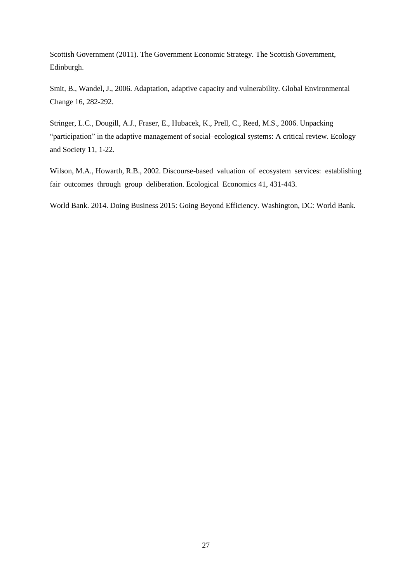Scottish Government (2011). The Government Economic Strategy. The Scottish Government, Edinburgh.

Smit, B., Wandel, J., 2006. Adaptation, adaptive capacity and vulnerability. Global Environmental Change 16, 282-292.

Stringer, L.C., Dougill, A.J., Fraser, E., Hubacek, K., Prell, C., Reed, M.S., 2006. Unpacking "participation" in the adaptive management of social–ecological systems: A critical review. Ecology and Society 11, 1-22.

Wilson, M.A., Howarth, R.B., 2002. Discourse-based valuation of ecosystem services: establishing fair outcomes through group deliberation. Ecological Economics 41, 431-443.

World Bank. 2014. Doing Business 2015: Going Beyond Efficiency. Washington, DC: World Bank.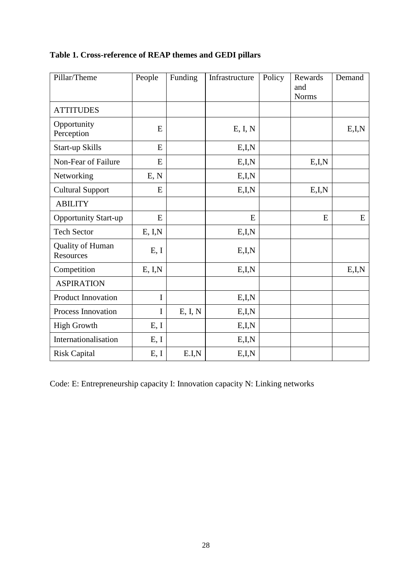| Pillar/Theme                  | People  | Funding | Infrastructure | Policy | Rewards<br>and<br><b>Norms</b> | Demand  |
|-------------------------------|---------|---------|----------------|--------|--------------------------------|---------|
| <b>ATTITUDES</b>              |         |         |                |        |                                |         |
| Opportunity<br>Perception     | E       |         | E, I, N        |        |                                | E, I, N |
| <b>Start-up Skills</b>        | E       |         | E,I,N          |        |                                |         |
| Non-Fear of Failure           | E       |         | E,I,N          |        | E,I,N                          |         |
| Networking                    | E, N    |         | E,I,N          |        |                                |         |
| <b>Cultural Support</b>       | E       |         | E,I,N          |        | E,I,N                          |         |
| <b>ABILITY</b>                |         |         |                |        |                                |         |
| <b>Opportunity Start-up</b>   | E       |         | E              |        | E                              | E       |
| <b>Tech Sector</b>            | E, I, N |         | E,I,N          |        |                                |         |
| Quality of Human<br>Resources | E, I    |         | E,I,N          |        |                                |         |
| Competition                   | E, I, N |         | E,I,N          |        |                                | E, I, N |
| <b>ASPIRATION</b>             |         |         |                |        |                                |         |
| <b>Product Innovation</b>     | I       |         | E, I, N        |        |                                |         |
| <b>Process Innovation</b>     | I       | E, I, N | E,I,N          |        |                                |         |
| <b>High Growth</b>            | E, I    |         | E,I,N          |        |                                |         |
| Internationalisation          | E, I    |         | E,I,N          |        |                                |         |
| <b>Risk Capital</b>           | E, I    | E.I.N   | E,I,N          |        |                                |         |

## **Table 1. Cross-reference of REAP themes and GEDI pillars**

Code: E: Entrepreneurship capacity I: Innovation capacity N: Linking networks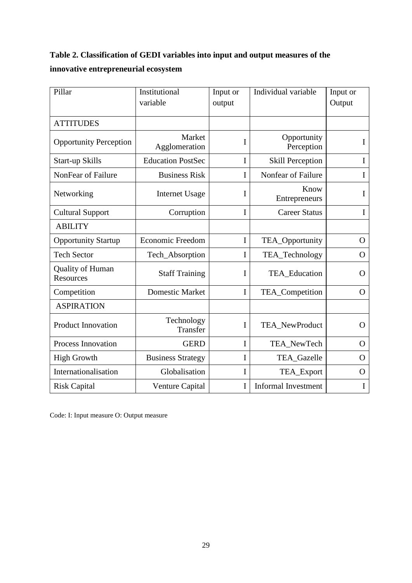## **Table 2. Classification of GEDI variables into input and output measures of the innovative entrepreneurial ecosystem**

| Pillar                        | Institutional<br>variable | Input or<br>output | Individual variable        | Input or<br>Output |
|-------------------------------|---------------------------|--------------------|----------------------------|--------------------|
|                               |                           |                    |                            |                    |
| <b>ATTITUDES</b>              |                           |                    |                            |                    |
| <b>Opportunity Perception</b> | Market<br>Agglomeration   | I                  | Opportunity<br>Perception  | I                  |
| Start-up Skills               | <b>Education PostSec</b>  | I                  | <b>Skill Perception</b>    | I                  |
| NonFear of Failure            | <b>Business Risk</b>      | I                  | Nonfear of Failure         | I                  |
| Networking                    | <b>Internet Usage</b>     | I                  | Know<br>Entrepreneurs      | I                  |
| <b>Cultural Support</b>       | Corruption                | I                  | <b>Career Status</b>       | I                  |
| <b>ABILITY</b>                |                           |                    |                            |                    |
| <b>Opportunity Startup</b>    | <b>Economic Freedom</b>   | I                  | TEA_Opportunity            | $\mathbf{O}$       |
| <b>Tech Sector</b>            | Tech_Absorption           | I                  | TEA_Technology             | $\Omega$           |
| Quality of Human<br>Resources | <b>Staff Training</b>     | I                  | TEA_Education              | $\mathbf O$        |
| Competition                   | <b>Domestic Market</b>    | I                  | TEA_Competition            | O                  |
| <b>ASPIRATION</b>             |                           |                    |                            |                    |
| <b>Product Innovation</b>     | Technology<br>Transfer    | I                  | TEA_NewProduct             | $\Omega$           |
| <b>Process Innovation</b>     | <b>GERD</b>               | I                  | TEA_NewTech                | $\Omega$           |
| <b>High Growth</b>            | <b>Business Strategy</b>  | I                  | TEA_Gazelle                | $\mathbf{O}$       |
| Internationalisation          | Globalisation             | I                  | TEA_Export                 | $\mathbf{O}$       |
| <b>Risk Capital</b>           | Venture Capital           | I                  | <b>Informal Investment</b> | I                  |

Code: I: Input measure O: Output measure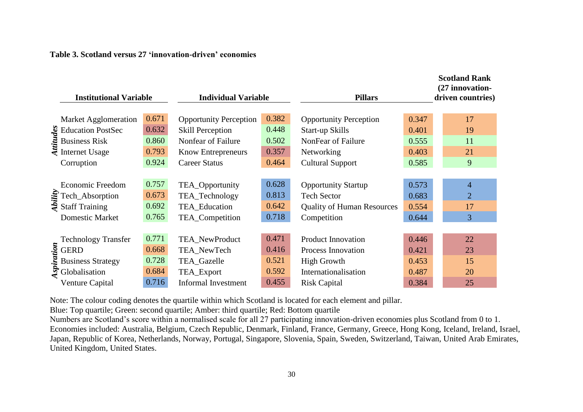## **Table 3. Scotland versus 27 'innovation-driven' economies**

| <b>Institutional Variable</b> |                                                             | <b>Individual Variable</b> |                               | <b>Pillars</b> | <b>Scotland Rank</b><br>(27 innovation-<br>driven countries) |       |                |
|-------------------------------|-------------------------------------------------------------|----------------------------|-------------------------------|----------------|--------------------------------------------------------------|-------|----------------|
|                               | Market Agglomeration                                        | 0.671                      | <b>Opportunity Perception</b> | 0.382          | <b>Opportunity Perception</b>                                | 0.347 | 17             |
|                               |                                                             | 0.632                      | <b>Skill Perception</b>       | 0.448          | Start-up Skills                                              | 0.401 | 19             |
|                               | Summary Education PostSec<br>Business Risk<br>Thernet Usage | 0.860                      | Nonfear of Failure            | 0.502          | NonFear of Failure                                           | 0.555 | 11             |
|                               |                                                             | 0.793                      | <b>Know Entrepreneurs</b>     | 0.357          | Networking                                                   | 0.403 | 21             |
|                               | Corruption                                                  | 0.924                      | <b>Career Status</b>          | 0.464          | <b>Cultural Support</b>                                      | 0.585 | 9              |
|                               |                                                             |                            |                               |                |                                                              |       |                |
|                               | <b>Economic Freedom</b>                                     | 0.757                      | TEA_Opportunity               | 0.628          | <b>Opportunity Startup</b>                                   | 0.573 | $\overline{4}$ |
|                               | Fech_Absorption<br>$\frac{25}{3}$ Staff Training            | 0.673                      | TEA_Technology                | 0.813          | <b>Tech Sector</b>                                           | 0.683 | $\overline{2}$ |
|                               |                                                             | 0.692                      | TEA_Education                 | 0.642          | <b>Quality of Human Resources</b>                            | 0.554 | 17             |
|                               | <b>Domestic Market</b>                                      | 0.765                      | TEA_Competition               | 0.718          | Competition                                                  | 0.644 | $\overline{3}$ |
|                               |                                                             |                            |                               |                |                                                              |       |                |
|                               | <b>Technology Transfer</b>                                  | 0.771                      | TEA_NewProduct                | 0.471          | <b>Product Innovation</b>                                    | 0.446 | 22             |
|                               |                                                             | 0.668                      | TEA_NewTech                   | 0.416          | Process Innovation                                           | 0.421 | 23             |
|                               | <b>Business Strategy</b>                                    | 0.728                      | TEA_Gazelle                   | 0.521          | <b>High Growth</b>                                           | 0.453 | 15             |
|                               | Fechnology<br>GERD<br>Business Strat<br>Se Globalisation    | 0.684                      | TEA_Export                    | 0.592          | Internationalisation                                         | 0.487 | 20             |
|                               | Venture Capital                                             | 0.716                      | <b>Informal Investment</b>    | 0.455          | <b>Risk Capital</b>                                          | 0.384 | 25             |

Note: The colour coding denotes the quartile within which Scotland is located for each element and pillar.

Blue: Top quartile; Green: second quartile; Amber: third quartile; Red: Bottom quartile

Numbers are Scotland's score within a normalised scale for all 27 participating innovation-driven economies plus Scotland from 0 to 1. Economies included: Australia, Belgium, Czech Republic, Denmark, Finland, France, Germany, Greece, Hong Kong, Iceland, Ireland, Israel, Japan, Republic of Korea, Netherlands, Norway, Portugal, Singapore, Slovenia, Spain, Sweden, Switzerland, Taiwan, United Arab Emirates, United Kingdom, United States.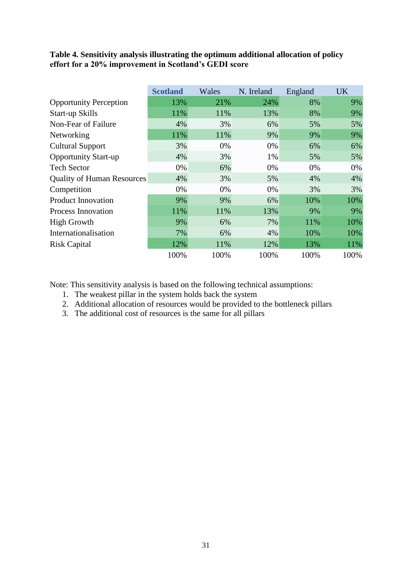## **Table 4. Sensitivity analysis illustrating the optimum additional allocation of policy effort for a 20% improvement in Scotland's GEDI score**

|                                   | <b>Scotland</b> | Wales | N. Ireland | England | <b>UK</b> |
|-----------------------------------|-----------------|-------|------------|---------|-----------|
| <b>Opportunity Perception</b>     | 13%             | 21%   | 24%        | 8%      | 9%        |
| Start-up Skills                   | 11%             | 11%   | 13%        | 8%      | 9%        |
| Non-Fear of Failure               | 4%              | 3%    | 6%         | 5%      | 5%        |
| Networking                        | 11%             | 11%   | 9%         | 9%      | 9%        |
| <b>Cultural Support</b>           | 3%              | 0%    | 0%         | 6%      | 6%        |
| <b>Opportunity Start-up</b>       | 4%              | 3%    | 1%         | 5%      | 5%        |
| <b>Tech Sector</b>                | 0%              | 6%    | 0%         | 0%      | 0%        |
| <b>Quality of Human Resources</b> | 4%              | 3%    | 5%         | 4%      | 4%        |
| Competition                       | 0%              | 0%    | 0%         | 3%      | 3%        |
| <b>Product Innovation</b>         | 9%              | 9%    | 6%         | 10%     | 10%       |
| <b>Process Innovation</b>         | 11%             | 11%   | 13%        | 9%      | 9%        |
| <b>High Growth</b>                | 9%              | 6%    | 7%         | 11%     | 10%       |
| Internationalisation              | 7%              | 6%    | 4%         | 10%     | 10%       |
| <b>Risk Capital</b>               | 12%             | 11%   | 12%        | 13%     | 11%       |
|                                   | 100%            | 100%  | 100%       | 100%    | 100%      |

Note: This sensitivity analysis is based on the following technical assumptions:

- 1. The weakest pillar in the system holds back the system
- 2. Additional allocation of resources would be provided to the bottleneck pillars
- 3. The additional cost of resources is the same for all pillars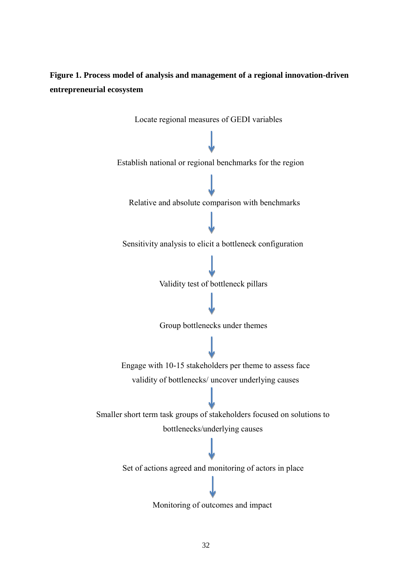## **Figure 1. Process model of analysis and management of a regional innovation-driven entrepreneurial ecosystem**

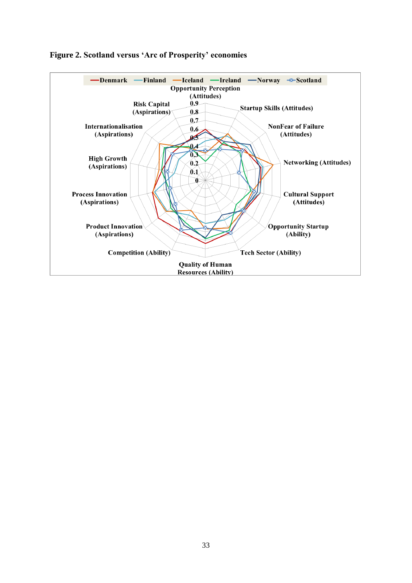

## **Figure 2. Scotland versus 'Arc of Prosperity' economies**